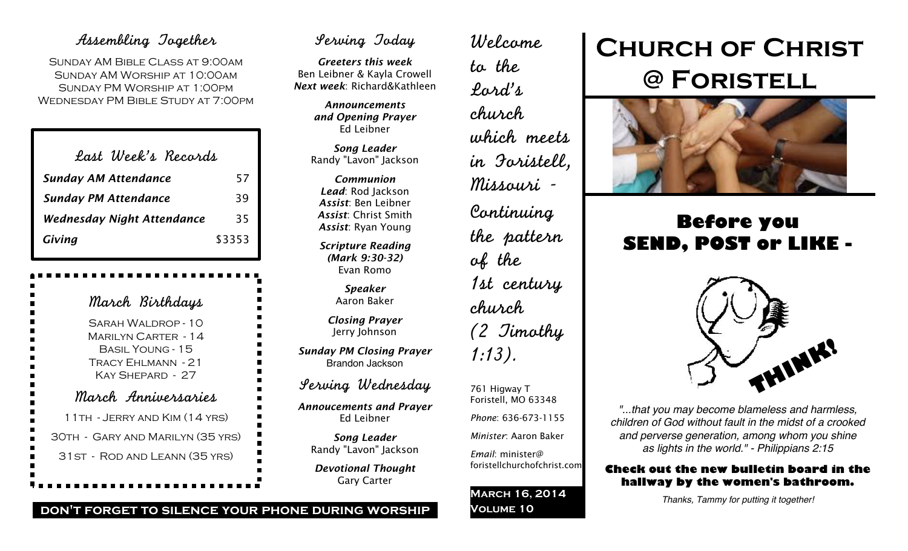# Assembling Together

Sunday AM Bible Class at 9:00am Sunday AM Worship at 10:00am Sunday PM Worship at 1:00pm Wednesday PM Bible Study at 7:00pm

| Last Week's Records               |        |
|-----------------------------------|--------|
| <b>Sunday AM Attendance</b>       | 57     |
| <b>Sunday PM Attendance</b>       | 39     |
| <b>Wednesday Night Attendance</b> | 35     |
| Giving                            | \$3353 |

| March Birthdays                                                                                                |
|----------------------------------------------------------------------------------------------------------------|
| SARAH WALDROP - 10<br><b>MARILYN CARTER - 14</b><br>BASIL YOUNG - 15<br>TRACY EHLMANN - 21<br>KAY SHEPARD - 27 |
| March Anniversaries                                                                                            |
| 11 TH - JERRY AND KIM (14 YRS)                                                                                 |
| 30TH - GARY AND MARILYN (35 YRS)                                                                               |
| 31 ST - ROD AND LEANN (35 YRS)                                                                                 |
|                                                                                                                |

# Serving Today

*Greeters this week* Ben Leibner & Kayla Crowell *Next week*: Richard&Kathleen

> *Announcements and Opening Prayer* Ed Leibner

> *Song Leader* Randy "Lavon" Jackson

*Communion Lead*: Rod Jackson *Assist*: Ben Leibner *Assist*: Christ Smith *Assist*: Ryan Young

*Scripture Reading (Mark 9:30-32)* Evan Romo

> *Speaker* Aaron Baker

*Closing Prayer* Jerry Johnson

*Sunday PM Closing Prayer* Brandon Jackson

Serving Wednesday

*Annoucements and Prayer* Ed Leibner

*Song Leader* Randy "Lavon" Jackson

*Devotional Thought* Gary Carter

Welcome to the Lord's church which meets in Foristell, Missouri - Continuing the pattern of the 1st century church (2 Timothy 1:13).

761 Higway T Foristell, MO 63348 *Phone*: 636-673-1155

*Minister*: Aaron Baker

*Email*: minister@ foristellchurchofchrist.com

**March 16, 2014 Volume 10**

# **Church of Christ @ Foristell**



# **Before you SEND, POST or LIKE -**



*"...that you may become blameless and harmless, children of God without fault in the midst of a crooked and perverse generation, among whom you shine as lights in the world." - Philippians 2:15*

# **Check out the new bulletin board in the hallway by the women's bathroom.**

*Thanks, Tammy for putting it together!*

# **don't forget to silence your phone during worship**